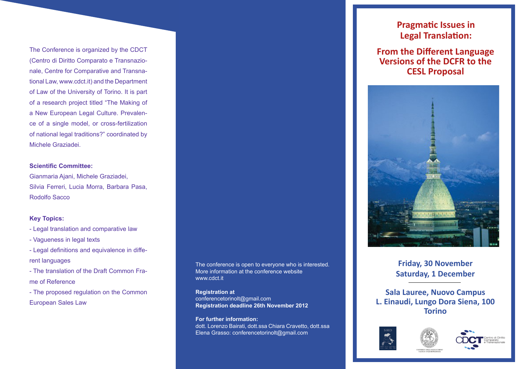The Conference is organized by the CDCT (Centro di Diritto Comparato e Transnazionale, Centre for Comparative and Transnational Law, www.cdct.it) and the Department of Law of the University of Torino. It is part of a research project titled "The Making of a New European Legal Culture. Prevalence of a single model, or cross-fertilization of national legal traditions?" coordinated by Michele Graziadei.

#### **Scientific Committee:**

Gianmaria Ajani, Michele Graziadei, Silvia Ferreri, Lucia Morra, Barbara Pasa, Rodolfo Sacco

### **Key Topics:**

- Legal translation and comparative law
- Vagueness in legal texts
- Legal definitions and equivalence in different languages
- The translation of the Draft Common Frame of Reference
- The proposed regulation on the Common European Sales Law

The conference is open to everyone who is interested. More information at the conference website www.cdct.it

**Registration at** conferencetorinolt@gmail.com **Registration deadline 26th November 2012** 

**For further information:**  dott. Lorenzo Bairati, dott.ssa Chiara Cravetto, dott.ssa Elena Grasso: conferencetorinolt@gmail.com

# **Pragmatic Issues in Legal Translation:**

**From the Different Language Versions of the DCFR to the CESL Proposal**



## **Friday, 30 November Saturday, 1 December**

**Sala Lauree, Nuovo Campus L. Einaudi, Lungo Dora Siena, 100 Torino**